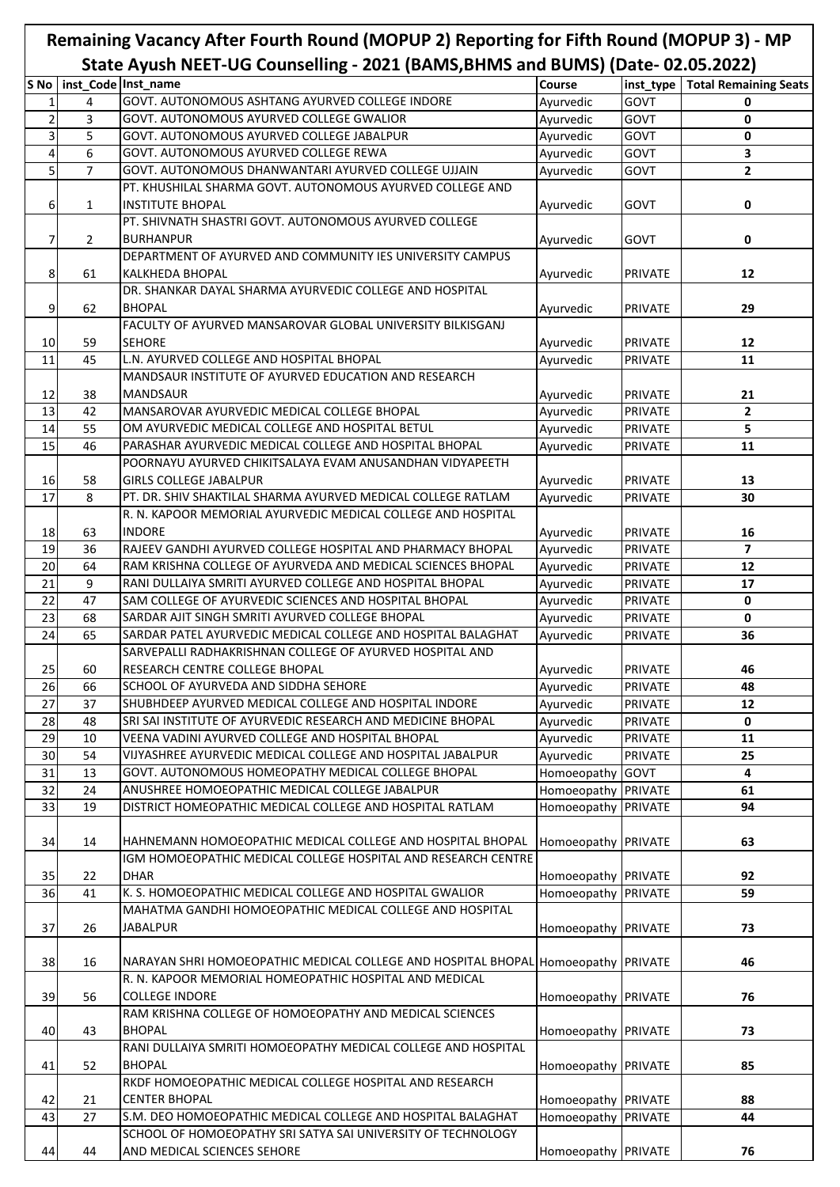## **Remaining Vacancy After Fourth Round (MOPUP 2) Reporting for Fifth Round (MOPUP 3) - MP State Ayush NEET-UG Counselling - 2021 (BAMS,BHMS and BUMS) (Date- 02.05.2022)**

|                 |                | $3.0011$ $\rightarrow$ $3.0011$ $\rightarrow$ $1.001$ $\rightarrow$ $1.001$<br><b>EVEL</b> (DAIND, DITING UNIX DONO) (DATE VEIOSIEVEE) |                     |                |                              |
|-----------------|----------------|----------------------------------------------------------------------------------------------------------------------------------------|---------------------|----------------|------------------------------|
|                 |                | S No   inst Code   Inst_name                                                                                                           | <b>Course</b>       | inst_type      | <b>Total Remaining Seats</b> |
| $\mathbf{1}$    | 4              | GOVT. AUTONOMOUS ASHTANG AYURVED COLLEGE INDORE                                                                                        | Ayurvedic           | GOVT           | 0                            |
| $\overline{2}$  | 3              | GOVT. AUTONOMOUS AYURVED COLLEGE GWALIOR                                                                                               | Ayurvedic           | GOVT           | 0                            |
| 3               | 5              | GOVT. AUTONOMOUS AYURVED COLLEGE JABALPUR                                                                                              | Ayurvedic           | GOVT           | 0                            |
| $\overline{4}$  | 6              | GOVT. AUTONOMOUS AYURVED COLLEGE REWA                                                                                                  | Ayurvedic           | GOVT           | 3                            |
| 5               | $\overline{7}$ | GOVT. AUTONOMOUS DHANWANTARI AYURVED COLLEGE UJJAIN                                                                                    | Ayurvedic           | GOVT           | $\overline{2}$               |
|                 |                | PT. KHUSHILAL SHARMA GOVT. AUTONOMOUS AYURVED COLLEGE AND                                                                              |                     |                |                              |
| 6               | $\mathbf{1}$   | <b>INSTITUTE BHOPAL</b>                                                                                                                | Ayurvedic           | GOVT           | 0                            |
|                 |                | PT. SHIVNATH SHASTRI GOVT. AUTONOMOUS AYURVED COLLEGE                                                                                  |                     |                |                              |
|                 |                |                                                                                                                                        |                     |                |                              |
| 7               | $\overline{2}$ | <b>BURHANPUR</b>                                                                                                                       | Ayurvedic           | <b>GOVT</b>    | 0                            |
|                 |                | DEPARTMENT OF AYURVED AND COMMUNITY IES UNIVERSITY CAMPUS                                                                              |                     |                |                              |
| 8               | 61             | <b>KALKHEDA BHOPAL</b>                                                                                                                 | Ayurvedic           | <b>PRIVATE</b> | 12                           |
|                 |                | DR. SHANKAR DAYAL SHARMA AYURVEDIC COLLEGE AND HOSPITAL                                                                                |                     |                |                              |
| 9               | 62             | <b>BHOPAL</b>                                                                                                                          | Ayurvedic           | <b>PRIVATE</b> | 29                           |
|                 |                | FACULTY OF AYURVED MANSAROVAR GLOBAL UNIVERSITY BILKISGANJ                                                                             |                     |                |                              |
| 10              | 59             | <b>SEHORE</b>                                                                                                                          | Ayurvedic           | <b>PRIVATE</b> | 12                           |
| 11              | 45             | L.N. AYURVED COLLEGE AND HOSPITAL BHOPAL                                                                                               | Ayurvedic           | <b>PRIVATE</b> | 11                           |
|                 |                | MANDSAUR INSTITUTE OF AYURVED EDUCATION AND RESEARCH                                                                                   |                     |                |                              |
| 12              | 38             | <b>MANDSAUR</b>                                                                                                                        | Ayurvedic           | <b>PRIVATE</b> | 21                           |
| 13              | 42             | MANSAROVAR AYURVEDIC MEDICAL COLLEGE BHOPAL                                                                                            | Ayurvedic           | <b>PRIVATE</b> | $\overline{2}$               |
|                 |                |                                                                                                                                        |                     |                |                              |
| 14              | 55             | OM AYURVEDIC MEDICAL COLLEGE AND HOSPITAL BETUL                                                                                        | Ayurvedic           | <b>PRIVATE</b> | 5                            |
| 15              | 46             | PARASHAR AYURVEDIC MEDICAL COLLEGE AND HOSPITAL BHOPAL                                                                                 | Ayurvedic           | PRIVATE        | 11                           |
|                 |                | POORNAYU AYURVED CHIKITSALAYA EVAM ANUSANDHAN VIDYAPEETH                                                                               |                     |                |                              |
| 16              | 58             | <b>GIRLS COLLEGE JABALPUR</b>                                                                                                          | Ayurvedic           | <b>PRIVATE</b> | 13                           |
| 17              | 8              | PT. DR. SHIV SHAKTILAL SHARMA AYURVED MEDICAL COLLEGE RATLAM                                                                           | Ayurvedic           | <b>PRIVATE</b> | 30                           |
|                 |                | R. N. KAPOOR MEMORIAL AYURVEDIC MEDICAL COLLEGE AND HOSPITAL                                                                           |                     |                |                              |
| 18              | 63             | <b>INDORE</b>                                                                                                                          | Ayurvedic           | <b>PRIVATE</b> | 16                           |
| 19              | 36             | RAJEEV GANDHI AYURVED COLLEGE HOSPITAL AND PHARMACY BHOPAL                                                                             | Ayurvedic           | <b>PRIVATE</b> | $\overline{\mathbf{z}}$      |
| 20              | 64             | RAM KRISHNA COLLEGE OF AYURVEDA AND MEDICAL SCIENCES BHOPAL                                                                            | Ayurvedic           | <b>PRIVATE</b> | 12                           |
| $\overline{21}$ | 9              | RANI DULLAIYA SMRITI AYURVED COLLEGE AND HOSPITAL BHOPAL                                                                               | Ayurvedic           | <b>PRIVATE</b> | 17                           |
| 22              | 47             | SAM COLLEGE OF AYURVEDIC SCIENCES AND HOSPITAL BHOPAL                                                                                  | Ayurvedic           | <b>PRIVATE</b> | $\mathbf 0$                  |
| $\overline{23}$ | 68             | SARDAR AJIT SINGH SMRITI AYURVED COLLEGE BHOPAL                                                                                        |                     |                | $\mathbf 0$                  |
|                 |                |                                                                                                                                        | Ayurvedic           | <b>PRIVATE</b> |                              |
| 24              | 65             | SARDAR PATEL AYURVEDIC MEDICAL COLLEGE AND HOSPITAL BALAGHAT                                                                           | Ayurvedic           | PRIVATE        | 36                           |
|                 |                | SARVEPALLI RADHAKRISHNAN COLLEGE OF AYURVED HOSPITAL AND                                                                               |                     |                |                              |
| 25              | 60             | RESEARCH CENTRE COLLEGE BHOPAL                                                                                                         | Ayurvedic           | <b>PRIVATE</b> | 46                           |
| 26              | 66             | SCHOOL OF AYURVEDA AND SIDDHA SEHORE                                                                                                   | Ayurvedic           | <b>PRIVATE</b> | 48                           |
| 27              | 37             | SHUBHDEEP AYURVED MEDICAL COLLEGE AND HOSPITAL INDORE                                                                                  | Ayurvedic           | PRIVATE        | 12                           |
| 28              | 48             | SRI SAI INSTITUTE OF AYURVEDIC RESEARCH AND MEDICINE BHOPAL                                                                            | Ayurvedic           | <b>PRIVATE</b> | 0                            |
| 29              | 10             | VEENA VADINI AYURVED COLLEGE AND HOSPITAL BHOPAL                                                                                       | Ayurvedic           | <b>PRIVATE</b> | 11                           |
| 30              | 54             | VIJYASHREE AYURVEDIC MEDICAL COLLEGE AND HOSPITAL JABALPUR                                                                             | Ayurvedic           | PRIVATE        | 25                           |
| 31              | 13             | GOVT. AUTONOMOUS HOMEOPATHY MEDICAL COLLEGE BHOPAL                                                                                     | Homoeopathy         | <b>GOVT</b>    | 4                            |
| 32              | 24             | ANUSHREE HOMOEOPATHIC MEDICAL COLLEGE JABALPUR                                                                                         | Homoeopathy         | <b>PRIVATE</b> | 61                           |
| 33              | 19             | DISTRICT HOMEOPATHIC MEDICAL COLLEGE AND HOSPITAL RATLAM                                                                               | Homoeopathy         | <b>PRIVATE</b> | 94                           |
|                 |                |                                                                                                                                        |                     |                |                              |
|                 |                |                                                                                                                                        |                     |                |                              |
| 34              | 14             | HAHNEMANN HOMOEOPATHIC MEDICAL COLLEGE AND HOSPITAL BHOPAL                                                                             | Homoeopathy         | <b>PRIVATE</b> | 63                           |
|                 |                | IGM HOMOEOPATHIC MEDICAL COLLEGE HOSPITAL AND RESEARCH CENTRE                                                                          |                     |                |                              |
| 35              | 22             | <b>DHAR</b>                                                                                                                            | Homoeopathy PRIVATE |                | 92                           |
| 36              | 41             | K. S. HOMOEOPATHIC MEDICAL COLLEGE AND HOSPITAL GWALIOR                                                                                | Homoeopathy         | <b>PRIVATE</b> | 59                           |
|                 |                | MAHATMA GANDHI HOMOEOPATHIC MEDICAL COLLEGE AND HOSPITAL                                                                               |                     |                |                              |
| 37              | 26             | <b>JABALPUR</b>                                                                                                                        | Homoeopathy PRIVATE |                | 73                           |
|                 |                |                                                                                                                                        |                     |                |                              |
| 38              | 16             | NARAYAN SHRI HOMOEOPATHIC MEDICAL COLLEGE AND HOSPITAL BHOPAL Homoeopathy PRIVATE                                                      |                     |                | 46                           |
|                 |                | R. N. KAPOOR MEMORIAL HOMEOPATHIC HOSPITAL AND MEDICAL                                                                                 |                     |                |                              |
| 39              | 56             | <b>COLLEGE INDORE</b>                                                                                                                  | Homoeopathy PRIVATE |                | 76                           |
|                 |                | RAM KRISHNA COLLEGE OF HOMOEOPATHY AND MEDICAL SCIENCES                                                                                |                     |                |                              |
| 40              | 43             | <b>BHOPAL</b>                                                                                                                          | Homoeopathy PRIVATE |                | 73                           |
|                 |                | RANI DULLAIYA SMRITI HOMOEOPATHY MEDICAL COLLEGE AND HOSPITAL                                                                          |                     |                |                              |
|                 |                |                                                                                                                                        |                     |                |                              |
| 41              | 52             | <b>BHOPAL</b>                                                                                                                          | Homoeopathy PRIVATE |                | 85                           |
|                 |                | RKDF HOMOEOPATHIC MEDICAL COLLEGE HOSPITAL AND RESEARCH                                                                                |                     |                |                              |
| 42              | 21             | <b>CENTER BHOPAL</b>                                                                                                                   | Homoeopathy PRIVATE |                | 88                           |
| 43              | 27             | S.M. DEO HOMOEOPATHIC MEDICAL COLLEGE AND HOSPITAL BALAGHAT                                                                            | Homoeopathy         | <b>PRIVATE</b> | 44                           |
|                 |                | SCHOOL OF HOMOEOPATHY SRI SATYA SAI UNIVERSITY OF TECHNOLOGY                                                                           |                     |                |                              |
| 44              | 44             | AND MEDICAL SCIENCES SEHORE                                                                                                            | Homoeopathy PRIVATE |                | 76                           |